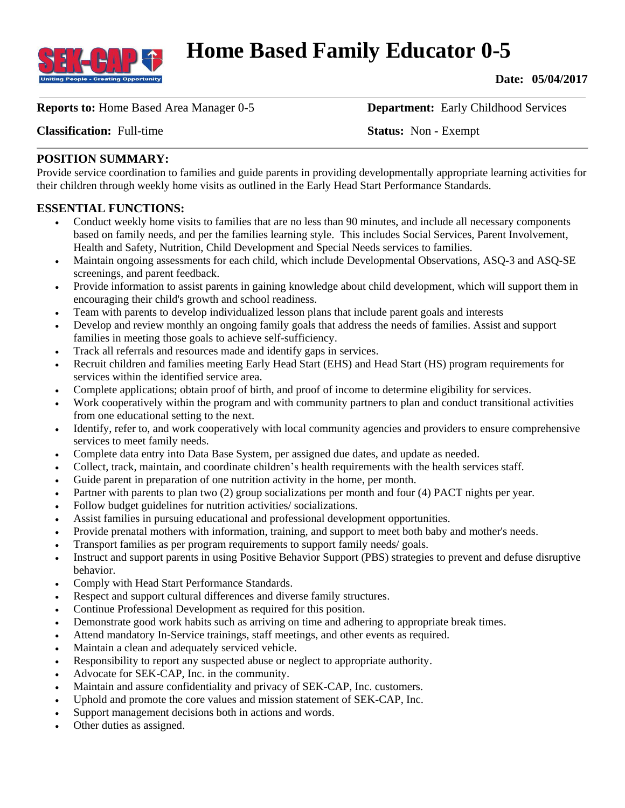

# **Home Based Family Educator 0-5**

**Date: 05/04/2017**

**Reports to:** Home Based Area Manager 0-5 **Department:** Early Childhood Services

**Classification:** Full-time **Status:** Non **-** Exempt

## **POSITION SUMMARY:**

Provide service coordination to families and guide parents in providing developmentally appropriate learning activities for their children through weekly home visits as outlined in the Early Head Start Performance Standards.

### **ESSENTIAL FUNCTIONS:**

- Conduct weekly home visits to families that are no less than 90 minutes, and include all necessary components based on family needs, and per the families learning style. This includes Social Services, Parent Involvement, Health and Safety, Nutrition, Child Development and Special Needs services to families.
- Maintain ongoing assessments for each child, which include Developmental Observations, ASQ-3 and ASQ-SE screenings, and parent feedback.
- Provide information to assist parents in gaining knowledge about child development, which will support them in encouraging their child's growth and school readiness.
- Team with parents to develop individualized lesson plans that include parent goals and interests
- Develop and review monthly an ongoing family goals that address the needs of families. Assist and support families in meeting those goals to achieve self-sufficiency.
- Track all referrals and resources made and identify gaps in services.
- Recruit children and families meeting Early Head Start (EHS) and Head Start (HS) program requirements for services within the identified service area.
- Complete applications; obtain proof of birth, and proof of income to determine eligibility for services.
- Work cooperatively within the program and with community partners to plan and conduct transitional activities from one educational setting to the next.
- Identify, refer to, and work cooperatively with local community agencies and providers to ensure comprehensive services to meet family needs.
- Complete data entry into Data Base System, per assigned due dates, and update as needed.
- Collect, track, maintain, and coordinate children's health requirements with the health services staff.
- Guide parent in preparation of one nutrition activity in the home, per month.
- Partner with parents to plan two (2) group socializations per month and four (4) PACT nights per year.
- Follow budget guidelines for nutrition activities/ socializations.
- Assist families in pursuing educational and professional development opportunities.
- Provide prenatal mothers with information, training, and support to meet both baby and mother's needs.
- Transport families as per program requirements to support family needs/ goals.
- Instruct and support parents in using Positive Behavior Support (PBS) strategies to prevent and defuse disruptive behavior.
- Comply with Head Start Performance Standards.
- Respect and support cultural differences and diverse family structures.
- Continue Professional Development as required for this position.
- Demonstrate good work habits such as arriving on time and adhering to appropriate break times.
- Attend mandatory In-Service trainings, staff meetings, and other events as required.
- Maintain a clean and adequately serviced vehicle.
- Responsibility to report any suspected abuse or neglect to appropriate authority.
- Advocate for SEK-CAP, Inc. in the community.
- Maintain and assure confidentiality and privacy of SEK-CAP, Inc. customers.
- Uphold and promote the core values and mission statement of SEK-CAP, Inc.
- Support management decisions both in actions and words.
- Other duties as assigned.